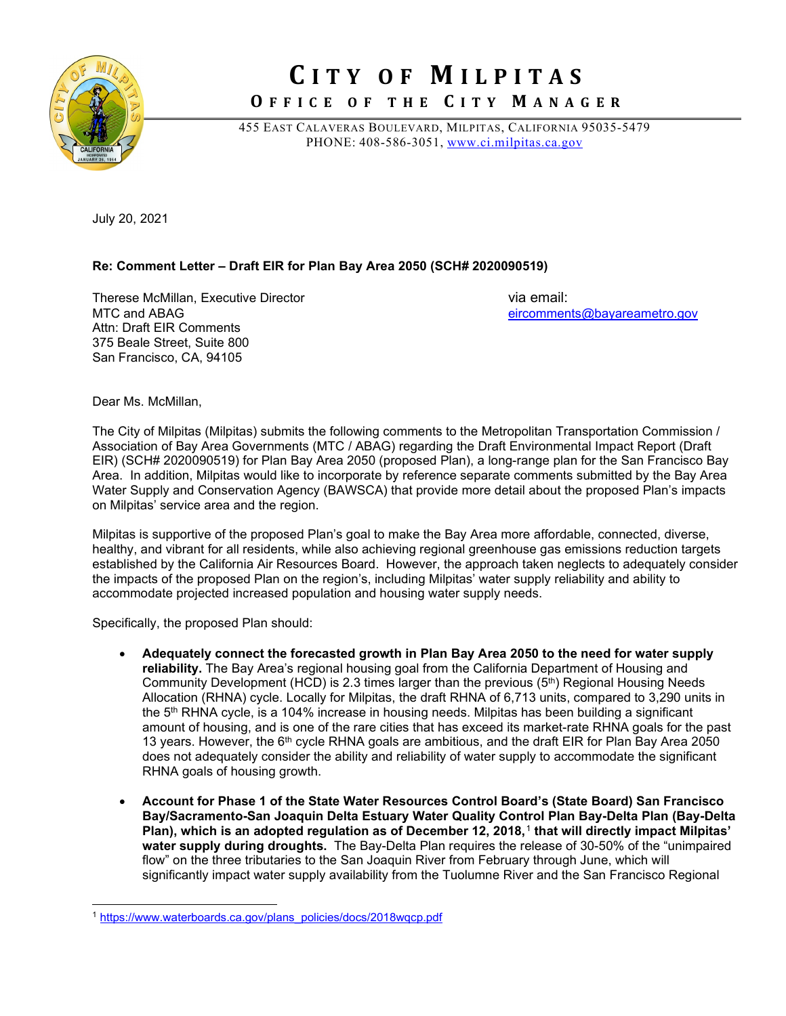

## **C ITY OF M ILPITAS**

**O FFICE OF THE C ITY M ANAGER**

455 EAST CALAVERAS BOULEVARD, MILPITAS, CALIFORNIA 95035-5479 PHONE: 408-586-3051, [www.ci.milpitas.ca.gov](http://www.ci.milpitas.ca.gov/)

July 20, 2021

## **Re: Comment Letter – Draft EIR for Plan Bay Area 2050 (SCH# 2020090519)**

Therese McMillan, Executive Director **Contract Contract Contract Contract Contract Contract Contract Contract Contract Contract Contract Contract Contract Contract Contract Contract Contract Contract Contract Contract Cont** Attn: Draft EIR Comments 375 Beale Street, Suite 800 San Francisco, CA, 94105

[eircomments@bayareametro.gov](mailto:eircomments@bayareametro.gov)

Dear Ms. McMillan,

The City of Milpitas (Milpitas) submits the following comments to the Metropolitan Transportation Commission / Association of Bay Area Governments (MTC / ABAG) regarding the Draft Environmental Impact Report (Draft EIR) (SCH# 2020090519) for Plan Bay Area 2050 (proposed Plan), a long-range plan for the San Francisco Bay Area. In addition, Milpitas would like to incorporate by reference separate comments submitted by the Bay Area Water Supply and Conservation Agency (BAWSCA) that provide more detail about the proposed Plan's impacts on Milpitas' service area and the region.

Milpitas is supportive of the proposed Plan's goal to make the Bay Area more affordable, connected, diverse, healthy, and vibrant for all residents, while also achieving regional greenhouse gas emissions reduction targets established by the California Air Resources Board. However, the approach taken neglects to adequately consider the impacts of the proposed Plan on the region's, including Milpitas' water supply reliability and ability to accommodate projected increased population and housing water supply needs.

Specifically, the proposed Plan should:

- **Adequately connect the forecasted growth in Plan Bay Area 2050 to the need for water supply reliability.** The Bay Area's regional housing goal from the California Department of Housing and Community Development (HCD) is 2.3 times larger than the previous (5<sup>th</sup>) Regional Housing Needs Allocation (RHNA) cycle. Locally for Milpitas, the draft RHNA of 6,713 units, compared to 3,290 units in the 5<sup>th</sup> RHNA cycle, is a 104% increase in housing needs. Milpitas has been building a significant amount of housing, and is one of the rare cities that has exceed its market-rate RHNA goals for the past 13 years. However, the 6<sup>th</sup> cycle RHNA goals are ambitious, and the draft EIR for Plan Bay Area 2050 does not adequately consider the ability and reliability of water supply to accommodate the significant RHNA goals of housing growth.
- **Account for Phase 1 of the State Water Resources Control Board's (State Board) San Francisco Bay/Sacramento-San Joaquin Delta Estuary Water Quality Control Plan Bay-Delta Plan (Bay-Delta Plan), which is an adopted regulation as of December 12, 2018,**[1](#page-0-0) **that will directly impact Milpitas' water supply during droughts.** The Bay-Delta Plan requires the release of 30-50% of the "unimpaired flow" on the three tributaries to the San Joaquin River from February through June, which will significantly impact water supply availability from the Tuolumne River and the San Francisco Regional

<span id="page-0-0"></span><sup>1</sup> [https://www.waterboards.ca.gov/plans\\_policies/docs/2018wqcp.pdf](https://www.waterboards.ca.gov/plans_policies/docs/2018wqcp.pdf)